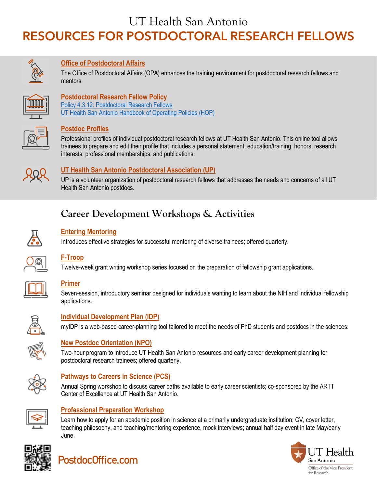UT Health San Antonio

# RESOURCES FOR POSTDOCTORAL RESEARCH FELLOWS



#### **[Office of Postdoctoral Affairs](https://opa.uthscsa.edu/)**

The Office of Postdoctoral Affairs (OPA) enhances the training environment for postdoctoral research fellows and mentors.



#### **Postdoctoral Research Fellow Policy**

[Policy 4.3.12: Postdoctoral Research Fellows](https://opa.uthscsa.edu/sites/opa/files/flyers/4.3.12%20Postdoctoral%20Research%20Fellow_FINAL.pdf) [UT Health San Antonio Handbook of Operating Policies \(HOP\)](https://uthealthsa.sharepoint.com/RAC/Pages/HOP.aspx)

#### **[Postdoc Profiles](https://opa.uthscsa.edu/postdoc-profiles)**

Professional profiles of individual postdoctoral research fellows at UT Health San Antonio. This online tool allows trainees to prepare and edit their profile that includes a personal statement, education/training, honors, research interests, professional memberships, and publications.



#### **[UT Health San Antonio Postdoctoral Association \(UP\)](https://opa.uthscsa.edu/up)**

UP is a volunteer organization of postdoctoral research fellows that addresses the needs and concerns of all UT Health San Antonio postdocs.

### **Career Development Workshops & Activities**



#### **[Entering Mentoring](https://opa.uthscsa.edu/entering-mentoring)**

Introduces effective strategies for successful mentoring of diverse trainees; offered quarterly.



#### **[F-Troop](https://opa.uthscsa.edu/ftroop)**

Twelve-week grant writing workshop series focused on the preparation of fellowship grant applications.



#### **[Primer](https://opa.uthscsa.edu/primer)**

Seven-session, introductory seminar designed for individuals wanting to learn about the NIH and individual fellowship applications.



### **[Individual Development Plan \(IDP\)](http://myidp.sciencecareers.org/)**

myIDP is a web-based career-planning tool tailored to meet the needs of PhD students and postdocs in the sciences.



#### **[New Postdoc Orientation](https://opa.uthscsa.edu/npo) (NPO)**

Two-hour program to introduce UT Health San Antonio resources and early career development planning for postdoctoral research trainees; offered quarterly.



#### **[Pathways to Careers in Science \(PCS\)](https://opa.uthscsa.edu/pcs)**

Annual Spring workshop to discuss career paths available to early career scientists; co-sponsored by the ARTT Center of Excellence at UT Health San Antonio.



#### **[Professional Preparation Workshop](https://opa.uthscsa.edu/saber/events)**

Learn how to apply for an academic position in science at a primarily undergraduate institution; CV, cover letter, teaching philosophy, and teaching/mentoring experience, mock interviews; annual half day event in late May/early June.





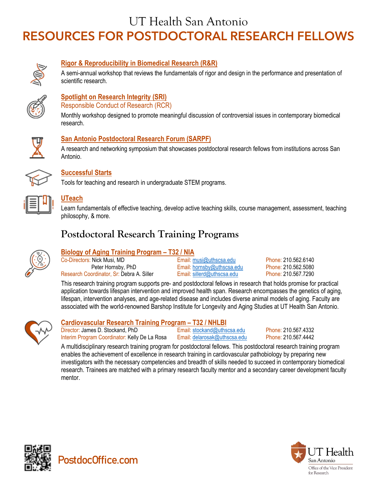## UT Health San Antonio

# RESOURCES FOR POSTDOCTORAL RESEARCH FELLOWS



#### **[Rigor & Reproducibility in Biomedical Research](https://opa.uthscsa.edu/RRworkshop) (R&R)**

A semi-annual workshop that reviews the fundamentals of rigor and design in the performance and presentation of scientific research.



### **[Spotlight on Research Integrity](https://opa.uthscsa.edu/spotlight) (SRI)**

Responsible Conduct of Research (RCR)

Monthly workshop designed to promote meaningful discussion of controversial issues in contemporary biomedical research.



#### **[San Antonio Postdoctoral Research Forum](https://opa.uthscsa.edu/SAPRF) (SARPF)**

A research and networking symposium that showcases postdoctoral research fellows from institutions across San Antonio.



#### **[Successful Starts](https://opa.uthscsa.edu/saber/act)**

Tools for teaching and research in undergraduate STEM programs.



#### **[UTeach](https://opa.uthscsa.edu/saber/act)**

Learn fundamentals of effective teaching, develop active teaching skills, course management, assessment, teaching philosophy, & more.

### **Postdoctoral Research Training Programs**



#### **[Biology of Aging Training Program –](https://opa.uthscsa.edu/home-musi) T32 / NIA**

Co-Directors: Nick Musi, MD<br>Peter Hornsby, PhD Email: [musi@uthscsa.edu](mailto:musi@uthscsa.edu) Phone: 210.562.6140<br>Phone: 210.562.5080 Phone: 210.562.5080 Research Coordinator, Sr: Debra A. Siller

Email: [hornsby@uthscsa.edu](mailto:hornsby@uthscsa.edu) Phone: 210.562.5080<br>Email: sillerd@uthscsa.edu Phone: 210.567.7290

This research training program supports pre- and postdoctoral fellows in research that holds promise for practical application towards lifespan intervention and improved health span. Research encompasses the genetics of aging, lifespan, intervention analyses, and age-related disease and includes diverse animal models of aging. Faculty are associated with the world-renowned Barshop Institute for Longevity and Aging Studies at UT Health San Antonio.



#### **[Cardiovascular Research Training Program –](https://opa.uthscsa.edu/home-mcmanus) T32 / NHLBI**

Director: James D. Stockand, PhD Email: [stockand@uthscsa.edu](mailto:stockand@uthscsa.edu) Phone: 210.567.4332 Interim Program Coordinator: Kelly De La Rosa Email: [delarosak@uthscsa.edu](mailto:delarosak@uthscsa.edu) Phone: 210.567.4442

A multidisciplinary research training program for postdoctoral fellows. This postdoctoral research training program enables the achievement of excellence in research training in cardiovascular pathobiology by preparing new investigators with the necessary competencies and breadth of skills needed to succeed in contemporary biomedical research. Trainees are matched with a primary research faculty mentor and a secondary career development faculty mentor.





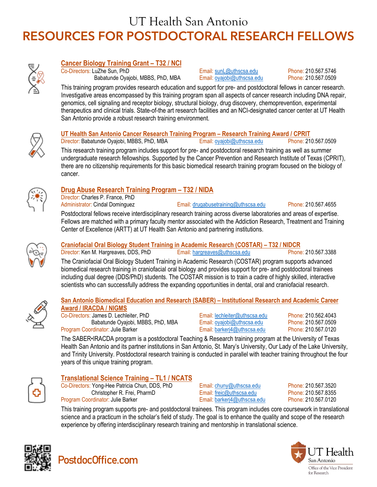# UT Health San Antonio RESOURCES FOR POSTDOCTORAL RESEARCH FELLOWS



#### **[Cancer Biology Training Grant –](https://opa.uthscsa.edu/home-sun) T32 / NCI**

Co-Directors: LuZhe Sun, PhD<br>Babatunde Oyajobi, MBBS, PhD, MBA Email: ovajobi@uthscsa.edu Phone: 210.567.0509 Babatunde Oyajobi, MBBS, PhD, MBA Email: ovajobi@uthscsa.edu Phone: 210.567.0509

This training program provides research education and support for pre- and postdoctoral fellows in cancer research. Investigative areas encompassed by this training program span all aspects of cancer research including DNA repair, genomics, cell signaling and receptor biology, structural biology, drug discovery, chemoprevention, experimental therapeutics and clinical trials. State-of-the art research facilities and an NCI-designated cancer center at UT Health San Antonio provide a robust research training environment.



#### **[UT Health San Antonio Cancer Research Training Program –](https://opa.uthscsa.edu/home-oyajobi) Research Training Award / CPRIT**

Director: Babatunde Oyajobi, MBBS, PhD, MBA Email: [oyajobi@uthscsa.edu](mailto:oyajobi@uthscsa.edu) Phone: 210.567.0509

This research training program includes support for pre- and postdoctoral research training as well as summer undergraduate research fellowships. Supported by the Cancer Prevention and Research Institute of Texas (CPRIT), there are no citizenship requirements for this basic biomedical research training program focused on the biology of cancer.



#### **[Drug Abuse Research Training Program –](https://uthscsa.edu/ARTT/index.asp) T32 / NIDA**

Director: Charles P. France, PhD Administrator: Cindal Dominguez **Email:** [drugabusetraining@uthscsa.edu](mailto:drugabusetraining@uthscsa.edu) Phone: 210.567.4655

Postdoctoral fellows receive interdisciplinary research training across diverse laboratories and areas of expertise. Fellows are matched with a primary faculty mentor associated with the Addiction Research, Treatment and Training Center of Excellence (ARTT) at UT Health San Antonio and partnering institutions.



#### **[Craniofacial Oral Biology Student Training in Academic Research \(COSTAR\) –](https://opa.uthscsa.edu/home-henry) T32 / NIDCR**

Director: Ken M. Hargreaves, DDS, PhD Email: [hargreaves@uthscsa.edu](mailto:hargreaves@uthscsa.edu) Phone: 210.567.3388 The Craniofacial Oral Biology Student Training in Academic Research (COSTAR) program supports advanced biomedical research training in craniofacial oral biology and provides support for pre- and postdoctoral trainees including dual degree (DDS/PhD) students. The COSTAR mission is to train a cadre of highly skilled, interactive scientists who can successfully address the expanding opportunities in dental, oral and craniofacial research.

#### **[San Antonio Biomedical Education and Research \(SABER\) –](https://opa.uthscsa.edu/saber/home) Institutional Research and Academic Career [Award / IRACDA / NIGMS](https://opa.uthscsa.edu/saber/home)**

Co-Directors: James D. Lechleiter, PhD Email: [lechleiter@uthscsa.edu](mailto:lechleiter@uthscsa.edu) Phone: 210.562.4043 Babatunde Oyajobi, MBBS, PhD, MBA Email: [oyajobi@uthscsa.edu](mailto:oyajobi@uthscsa.edu) Phone: 210.567.0509 Program Coordinator: Julie Barker **Email: [barkerj4@uthscsa.edu](mailto:barkerj4@uthscsa.edu)** Phone: 210.567.0120

The SABER•IRACDA program is a postdoctoral Teaching & Research training program at the University of Texas Health San Antonio and its partner institutions in San Antonio, St. Mary's University, Our Lady of the Lake University, and Trinity University. Postdoctoral research training is conducted in parallel with teacher training throughout the four years of this unique training program.



#### **[Translational Science Training –](https://iims.uthscsa.edu/ed_tst_tl1_prog_description.html) TL1 / NCATS**

Co-Directors: Yong-Hee Patricia Chun, DDS, PhD Email: [chuny@uthscsa.edu](mailto:chuny@uthscsa.edu) Phone: 210.567.3520<br>Christopher R. Frei, PharmD Email: freic@uthscsa.edu Phone: 210.567.8355 Christopher R. Frei, PharmD Program Coordinator: Julie Barker **Email: [barkerj4@uthscsa.edu](mailto:barkerj4@uthscsa.edu)** Phone: 210.567.0120

This training program supports pre- and postdoctoral trainees. This program includes core coursework in translational science and a practicum in the scholar's field of study. The goal is to enhance the quality and scope of the research experience by offering interdisciplinary research training and mentorship in translational science.